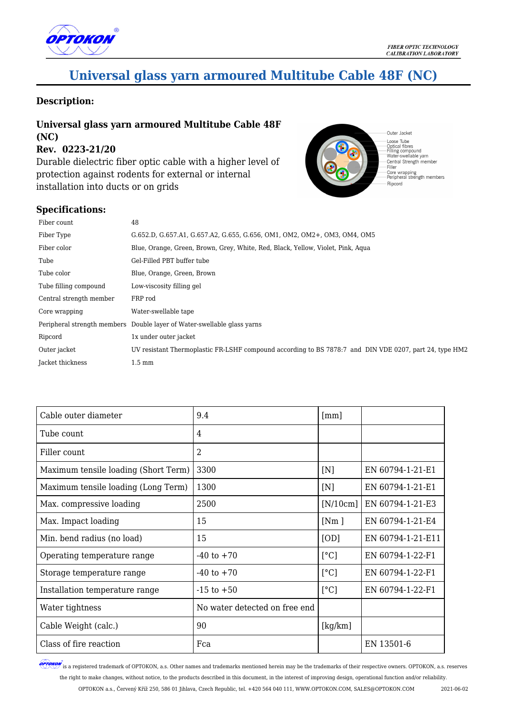

# **Universal glass yarn armoured Multitube Cable 48F (NC)**

#### **Description:**

#### **Universal glass yarn armoured Multitube Cable 48F (NC) Rev. 0223-21/20**

Durable dielectric fiber optic cable with a higher level of protection against rodents for external or internal installation into ducts or on grids



### **Specifications:**

| Fiber count             | 48                                                                                                     |
|-------------------------|--------------------------------------------------------------------------------------------------------|
| Fiber Type              | G.652.D, G.657.A1, G.657.A2, G.655, G.656, OM1, OM2, OM2+, OM3, OM4, OM5                               |
| Fiber color             | Blue, Orange, Green, Brown, Grey, White, Red, Black, Yellow, Violet, Pink, Agua                        |
| Tube                    | Gel-Filled PBT buffer tube                                                                             |
| Tube color              | Blue, Orange, Green, Brown                                                                             |
| Tube filling compound   | Low-viscosity filling gel                                                                              |
| Central strength member | FRP rod                                                                                                |
| Core wrapping           | Water-swellable tape                                                                                   |
|                         | Peripheral strength members Double layer of Water-swellable glass varns                                |
| Ripcord                 | 1x under outer jacket                                                                                  |
| Outer jacket            | UV resistant Thermoplastic FR-LSHF compound according to BS 7878:7 and DIN VDE 0207, part 24, type HM2 |
| Jacket thickness        | $1.5 \text{ mm}$                                                                                       |

| Cable outer diameter                 | 9.4                           | $\lceil mm \rceil$ |                   |
|--------------------------------------|-------------------------------|--------------------|-------------------|
| Tube count                           | 4                             |                    |                   |
| Filler count                         | 2                             |                    |                   |
| Maximum tensile loading (Short Term) | 3300                          | [N]                | EN 60794-1-21-E1  |
| Maximum tensile loading (Long Term)  | 1300                          | [N]                | EN 60794-1-21-E1  |
| Max. compressive loading             | 2500                          | [N/10cm]           | EN 60794-1-21-E3  |
| Max. Impact loading                  | 15                            | [Nm]               | EN 60794-1-21-E4  |
| Min. bend radius (no load)           | 15                            | [OD]               | EN 60794-1-21-E11 |
| Operating temperature range          | $-40$ to $+70$                | [°C]               | EN 60794-1-22-F1  |
| Storage temperature range            | $-40$ to $+70$                | $\lceil$ °C]       | EN 60794-1-22-F1  |
| Installation temperature range       | $-15$ to $+50$                | [°C]               | EN 60794-1-22-F1  |
| Water tightness                      | No water detected on free end |                    |                   |
| Cable Weight (calc.)                 | 90                            | [kg/km]            |                   |
| Class of fire reaction               | Fca                           |                    | EN 13501-6        |

**OPTOKON** is a registered trademark of OPTOKON, a.s. Other names and trademarks mentioned herein may be the trademarks of their respective owners. OPTOKON, a.s. reserves the right to make changes, without notice, to the products described in this document, in the interest of improving design, operational function and/or reliability.

OPTOKON a.s., Červený Kříž 250, 586 01 Jihlava, Czech Republic, tel. +420 564 040 111, WWW.OPTOKON.COM, SALES@OPTOKON.COM 2021-06-02